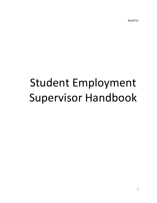Rev0721

# Student Employment Supervisor Handbook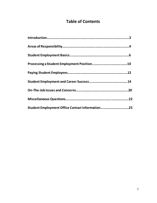# **Table of Contents**

| Student Employment Office Contact Information25 |  |
|-------------------------------------------------|--|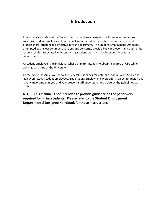# **Introduction**

This Supervisor's Manual for Student Employment was designed for those who hire and/or supervise student employees. This manual was created to make the student employment process more efficient and effective in your department. The Student Employment Office has attempted to answer common questions and concerns, provide basic protocols, and outline the responsibilities associated with supervising student staff. It is not intended to cover all circumstances.

A student employee is an individual whose primary intent is to obtain a degree at CSU while working part time at the University.

To the extent possible, we follow the Federal Guidelines for both our Federal Work Study and Non-Work Study student employees. The Student Employment Program is subject to audit, so it is very important that you and your student staff understand and abide by the guidelines set forth.

**NOTE: This manual is not intended to provide guidance on the paperwork required for hiring students. Please refer to the Student Employment Departmental Designee Handbook for those instructions.**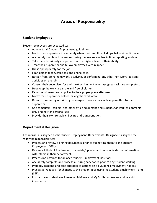# **Areas of Responsibility**

# **Student Employees**

Student employees are expected to:

- Adhere to all Student Employment guidelines.
- Notify their supervisor immediately when their enrollment drops below 6 credit hours.
- Accurately maintain time worked using the Kronos electronic time reporting system.
- Take the job seriously and perform at the highest level of their ability.
- Treat their supervisor and fellow employees with respect.
- Dress appropriately for the job.
- Limit personal conversations and phone calls.
- Refrain from doing homework, studying, or performing any other non-work/ personal activities on the job.
- Consult their supervisor for their next assignment when assigned tasks are completed.
- Help keep the work area safe and free of clutter.
- Return equipment and supplies to their proper place after use.
- Notify their supervisor before leaving the work area.
- Refrain from eating or drinking beverages in work areas, unless permitted by their supervisor.
- Use computers, copiers, and other office equipment and supplies for work assignments only and not for personal use.
- Provide their own reliable childcare and transportation.

# **Departmental Designee**

The individual assigned as the Student Employment Departmental Designee is assigned the following responsibilities:

- Process and review all hiring documents prior to submitting them to the Student Employment Office.
- Review all Student Employment materials/updates and communicate the information with others in their department.
- Process job postings for all open Student Employment positions.
- Accurately complete and process all hiring paperwork prior to any student working.
- Promptly respond and take appropriate actions on all Student Employment notices.
- Process all requests for changes to the student jobs using the Student Employment Form (SEF).
- Instruct new student employees on MyTime and MyProfile for Kronos and pay stub information.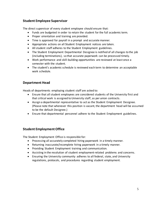# **Student Employee Supervisor**

The direct supervisor of every student employee should ensure that:

- Funds are budgeted in order to retain the student for the full academic term.
- Proper orientation and training are provided.
- Time is approved for payroll in a prompt and accurate manner.
- Appropriate actions on all Student Employment notices are taken.
- All student staff adheres to the Student Employment guidelines.
- The Student Employment Departmental Designee is notified of all changes to the job (including terminations), so that accurate paperwork can be processed timely.
- Work performance and skill-building opportunities are reviewed at least once a semester with the student.
- The student's academic schedule is reviewed each term to determine an acceptable work schedule.

# **Department Head**

Heads of departments employing student staff are asked to:

- Ensure that all student employees are considered students of the University first and that critical work is assigned to University staff, as per union contracts.
- Assign a departmental representative to act as the Student Employment Designee. (Please note that whenever this position is vacant, the department head will be assumed to be the default Designee.)
- Ensure that departmental personnel adhere to the Student Employment guidelines.

# **Student Employment Office**

The Student Employment Office is responsible for:

- Processing all accurately completed hiring paperwork in a timely manner.
- Returning inaccurate/incomplete hiring paperwork in a timely manner.
- Providing Student Employment training and communication.
- Assisting in the resolution of student employment-related problems and concerns.
- Ensuring the University community adheres to all federal, state, and University regulations, protocols, and procedures regarding student employment.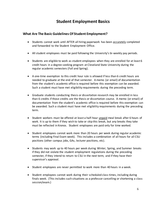# **Student Employment Basics**

## **What Are The Basic Guidelines Of Student Employment?**

- Students cannot work until AFTER all hiring paperwork has been accurately completed and forwarded to the Student Employment Office.
- All student employees must be paid following the University's bi-weekly pay periods.
- Students are eligible to work as student employees when they are enrolled for at least 6 credit hours in a degree-seeking program at Cleveland State University during the regular academic semesters (Fall and Spring).
- A one-time exemption to this credit hour rule is allowed if less than 6 credit hours are needed to graduate at the end of that semester. A memo (or email) of documentation from the student's academic office is required before this exemption can be awarded. Such a student must have met eligibility requirements during the preceding term.
- Graduate students conducting thesis or dissertation research may be enrolled in less than 6 credits if those credits are the thesis or dissertation course. A memo (or email) of documentation from the student's academic office is required before this exemption can be awarded. Such a student must have met eligibility requirements during the preceding term.
- Student workers must be offered at least a half-hour unpaid meal break after 6 hours of work. It is up to them if they wish to take or skip this break, but any breaks they take must be reflected in Kronos. Student employees are paid only for time worked.
- Student employees cannot work more than 20 hours per week during regular academic terms (including Final Exam week). This includes a combination of all hours for all CSU positions (other campus jobs, GAs, lecturer positions, etc).
- Students may work up to 40 hours per week during Winter, Spring, and Summer breaks if they did not violate the student employment regulations during the preceding semester, if they intend to return to CSU in the next term, and if they have their supervisor's approval.
- Student employees are never permitted to work more than 40 hours in a week.
- Student employees cannot work during their scheduled class times, including during finals week. (This includes such situations as a professor cancelling or shortening a class session/exam.)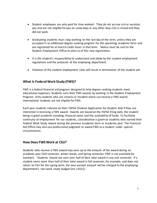- Student employees are only paid for time worked. They do not accrue sick or vacation pay and are not eligible for pay on snow days or any other days CSU is closed and they did not work.
- Graduating students must stop working on the last day of the term, unless they are accepted in an additional degree-seeking program for the upcoming academic term and are registered for at least 6 credit hours in that term. Notice must be sent to the Student Employment Office to alert us of this new registration.
- It is the student's responsibility to understand and abide by the student employment regulations and the protocols of the employing department.
- Violation of the student employment rules will result in termination of the student job.

# **What Is Federal Work Study (FWS)?**

FWS is a federal financial aid program designed to help degree-seeking students meet educational expenses. Students earn their FWS awards by working in the Student Employment Program. Only students who are citizens or resident aliens can receive a FWS award; international students are not eligible for FWS.

Each year students indicate on their FAFSA (Federal Application for Student Aid) if they are interested in receiving a FWS award. Awards are based on the FAFSA filing date, the student being in good academic standing, financial need, and the availability of funds. To facilitate continuity of employment for our students, consideration is given to students who earned their Federal Work Study Award during the previous academic term or academic year. The Financial Aid Office may also use professional judgment to award FWS to a student under special circumstances.

## **How Does FWS Work at CSU?**

Students who receive a FWS award may earn up to the amount of the award during an academic year (Fall semester, winter break, and Spring semester; FWS is not available for Summer). Students should not earn over half of their total award in any one semester. If a student earns more than half of their total award in fall semester, for example, and does not return to CSU for the spring term, the over-earned amount will be charged to the employing department's non-work study budget line (-0151).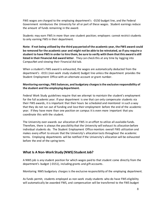FWS wages are charged to the employing department's -0150 budget line, and the Federal Government reimburses the University for all or part of these wages. Student earnings reduce the amount of funds remaining in the award.

Students may earn FWS in more than one student position; employers cannot restrict students to only earning FWS in their department.

**Note: If not being utilized by the third pay period of the academic year, the FWS award could be removed for the academic year and might not be able to be reinstated, so if you require a student to have FWS in order to hire them, be sure to verify with them that this award is still listed in their Financial Aid award letter**. They can check this at any time by logging into CampusNet and viewing their Financial Aid tab.

When a student's FWS award is exhausted, the wages are automatically deducted from the department's -0151 (non-work study student) budget line unless the department provides the Student Employment Office with an alternate account or grant number.

#### **Monitoring earnings, FWS balances, and budgetary charges is the exclusive responsibility of the student and the employing department.**

Federal Work Study guidelines require that we attempt to maintain the student's employment for the full academic year. If your department is one that can only compensate students via their FWS awards, it is important that their hours be scheduled and monitored in such a way that they do not run out of funding and lose their employment before the end of the academic year. If they have more than one position on campus it is even more important that you coordinate this with the student.

The University over-awards our allocation of FWS in an effort to utilize all available funds. Therefore, there is always the possibility that the University will exhaust its allocation before individual students do. The Student Employment Office monitors overall FWS utilization and makes every effort to ensure that the University's allocation lasts throughout the academic terms. Employing departments will be notified if the University's allocation will be exhausted before the end of the spring term.

# **What Is A Non-Work Study (NWS) Student Job?**

A NWS job is any student position for which wages paid to that student come directly from the department's budget (-0151), including grants and gift accounts.

Monitoring NWS budgetary charges is the exclusive responsibility of the employing department.

As funds permit, students employed as non-work study students who do have FWS eligibility will automatically be awarded FWS, and compensation will be transferred to the FWS budget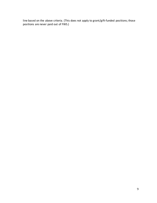line based on the above criteria. (This does not apply to grant/gift-funded positions; those positions are never paid out of FWS.)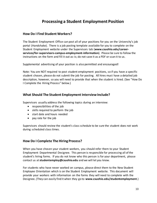# **Processing a Student Employment Position**

## **How Do I Find Student Workers?**

The Student Employment Office can post all of your positions for you on the University's job portal (Handshake). There is a job posting template available for you to complete on the Student Employment website under the Supervisors tab (**www.csuohio.edu/careerservices/for-supervisors-campus-employment-information**). Please be sure to follow the instructions on the form and fill it out as-is; do not save it as a PDF or scan it to us.

Supplemental advertising of your position is also permitted and encouraged!

Note: You are NOT required to post student employment positions, so if you have a specific student chosen, please do not submit the job for posting. All hires must have a detailed job description, however, so you will need to provide that when the student is hired. (See "How Do I Complete the Hiring Process" below.)

#### **What Should The Student Employment Interview Include?**

Supervisors usually address the following topics during an interview:

- responsibilities of the job
- skills required to perform the job
- start date and hours needed
- pay rate for the job

Supervisors should review the student's class schedule to be sure the student does not work during scheduled class times.

## **How Do I Complete The Hiring Process?**

When you have chosen your student workers, you should refer them to your Student Employment Departmental Designee. This person is responsible for processing all of the student's hiring forms. If you do not know who this person is for your department, please contact us at **studentemploy@csuohio.edu** and we will let you know.

For students who have never worked on campus, please direct them to the New Student Employee Orientation which is on the Student Employment website. This document will provide your workers with information on the forms they will need to complete with the Designee. (They can easily find it when they go to **www.csuohio.edu/studentemployment**.)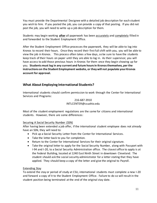You must provide the Departmental Designee with a detailed job description for each student you wish to hire. If you posted the job, you can provide a copy of that posting. If you did not post the job, you will need to write up a job description for them.

Students may begin working **after** all paperwork has been accurately and completely filled in and forwarded to the Student Employment Office.

After the Student Employment Office processes the paperwork, they will be able to log into Kronos to record their hours. Once they record their first full shift with you, you will be able to view the job in Kronos. This process often takes a few days, so be sure to have the students keep track of their hours on paper until they are able to log in. As their supervisor, you will have access to add those previous hours in Kronos for them once they begin showing up for you. **Students must log in any current and future hours in Kronos themselves, per the instructions on the Student Employment website, or they will not populate your Kronos account for approval.**

# **What About Employing International Students?**

International students should confirm permission to work through the Center for International Services and Programs:

#### 216-687-3910 INTLCENTER@csuohio.edu

Most of the student employment regulations are the same for citizens and international students. However, there are some differences:

#### Securing A Social Security Number (SSN)

After having been extended a job offer, if the international student employee does not already have an SSN, they will need to:

- Pick up a Social Security Letter from the Center for International Services.
- Take the letter back to you for completion.
- Return to the Center for International Services for their original signature.
- Take the original letter to apply for the Social Security Number, along with Passport with I-94 and I-20, to a Social Security Administration office. The closest office to apply is at the Federal Building, located at 1240 East Ninth Street in downtown Cleveland. The student should ask the social security administrator for a letter stating that they have applied. They should keep a copy of the letter and give the original to Payroll.

## Extending Stay

To extend the stay or period of study at CSU, international students must complete a new I-20 and forward a copy of it to the Student Employment Office. Failure to do so will result in the student position being terminated at the end of the original stay date.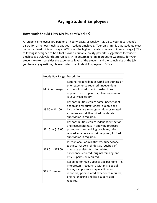# **Paying Student Employees**

# **How Much Should I Pay My Student Worker?**

All student employees are paid on an hourly basis, bi-weekly. It is up to your department's discretion as to how much to pay your student employee. Your only limit is that students must be paid at least minimum wage. (CSU uses the higher of state or federal minimum wage.) The following is designed to be a tool provide equitable hourly pay rate suggestions for student employees at Cleveland State University. In determining an appropriate wage rate for your student worker, consider the experience level of the student and the complexity of the job. If you have any questions, please contact the Student Employment Office.

| Hourly Pay Range  | Description                                                                                                                                                                                                                                    |
|-------------------|------------------------------------------------------------------------------------------------------------------------------------------------------------------------------------------------------------------------------------------------|
| Minimum wage      | Routine responsibilities with little training or<br>prior experience required; independent<br>action is limited; specific instructions<br>required from supervisor; close supervision<br>is usually necessary.                                 |
| $$9.50 - $11.00$  | Responsibilities require some independent<br>action and resourcefulness; supervisor's<br>instructions are more general; prior related<br>experience or skill required; moderate<br>supervision is required.                                    |
| $$11.01 - $13.00$ | Responsibilities require independent action<br>and resourcefulness in applying protocols,<br>procedures, and solving problems; prior<br>related experience or skill required; limited<br>supervision is required.                              |
| $$13.01 - $15.00$ | Instructional, administrative, supervisory,<br>technical responsibilities, as required of<br>graduate assistants; prior related<br>experience required; original thinking and<br>little supervision required.                                  |
| \$15.01 - more    | Reserved for highly specialized positions, i.e.<br>interpreters; research assistants; special<br>tutors; campus newspaper editors or<br>reporters; prior related experience required;<br>original thinking and little supervision<br>required. |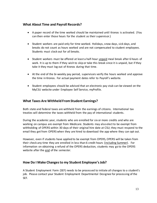# **What About Time and Payroll Records?**

- A paper record of the time worked should be maintained until Kronos is activated. (You can then enter those hours for the student as their supervisor.)
- Student workers are paid only for time worked. Holidays, snow days, sick days, and breaks do not count as hours worked and are not compensated to student employees. Students must clock out for all breaks.
- Student workers must be offered at least a half-hour unpaid meal break after 6 hours of work. It is up to them if they wish to skip or take this break since it is unpaid, but if they take it they must log out of Kronos during that time.
- At the end of the bi-weekly pay period, supervisors verify the hours worked and approve the time in Kronos. For actual payment dates refer to Payroll's website.
- Student employees should be advised that an electronic pay stub can be viewed on the MyCSU website under Employee Self Service, myProfile.

# **What Taxes Are Withheld From Student Earnings?**

Both state and federal taxes are withheld from the earnings of citizens. International tax treaties will determine the taxes withheld from the pay of international students.

During the academic year, students who are enrolled for six or more credits and who are working on campus are exempt from Medicare. Students may also elect to be exempt from withholding of OPERS within 30 days of their original hire date at CSU; they must respond to the email they get from OPERS when they are hired to download the app where they can opt out.

However, even if students have applied to be exempt from OPERS, OPERS will be taken from their check any time they are enrolled in less than 6 credit hours (including Summer). For information on obtaining a refund of the OPERS deduction, students may go to the OPERS website after the end of the semester.

## **How Do I Make Changes to my Student Employee's Job?**

A Student Employment Form (SEF) needs to be processed to initiate all changes to a student's job. Please contact your Student Employment Departmental Designee for processing of the SEF.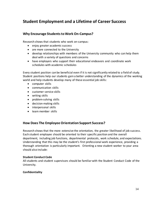# **Student Employment and a Lifetime of Career Success**

## **Why Encourage Students to Work On-Campus?**

Research shows that students who work on-campus:

- enjoy greater academic success
- are more connected to the University
- develop relationships with members of the University community who can help them deal with a variety of questions and concerns
- have employers who support their educational endeavors and coordinate work schedules with academic schedules

Every student position can be beneficial even if it is not significantly related to a field of study. Student positions help our students gain a better understanding of the dynamics of the working world and help students develop many of these essential job skills:

- computer skills
- communication skills
- customer service skills
- writing skills
- problem-solving skills
- decision-making skills
- interpersonal skills
- team member skills

# **How Does The Employee Orientation Support Success?**

Research shows that the more extensive the orientation, the greater likelihood of job success. Each student employee should be oriented to their specific position and the overall department, including job functions, departmental protocols, work schedule, and expectations. Understanding that this may be the student's first professional work experience, providing a thorough orientation is particularly important. Orienting a new student worker to your area should also include:

#### **Student Conduct Code**

All students and student supervisors should be familiar with the Student Conduct Code of the University.

#### **Confidentiality**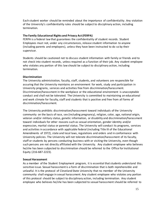Each student worker should be reminded about the importance of confidentiality. Any violation of the University's confidentiality rules should be subject to disciplinary action, including termination.

#### **The Family Educational Rights and Privacy Act (FERPA)**

FERPA is a federal law that guarantees the confidentiality of student records. Student Employees must not, under any circumstances, release student information to anyone (including parents and employers), unless they have been instructed to do so by their supervisor.

Students should be cautioned not to discuss student information with family or friends and to not check into student records, unless required as a function of their job. Any student employee who violates any portion of this law should be subject to disciplinary action, including termination.

#### **Discrimination**

The University administration, faculty, staff, students, and volunteers are responsible for assuring that the University maintains an environment for work, study and participation in University programs, services and activities free from discrimination/harassment. Discrimination/harassment in the workplace or the educational environment is unacceptable conduct and shall not be tolerated. The University is committed to maintaining an educational and work climate for faculty, staff and students that is positive and free from all forms of discrimination/harassment.

The University prohibits discrimination/harassment toward individuals of the University community on the basis of race, sex (including pregnancy), religion, color, age, national origin, veteran and/or military status, genetic information, or disability and discrimination/harassment toward individuals for other reasons such as sexual orientation, gender identity and/or expression, marital status or parental status. The University will conduct its programs, services and activities in accordance with applicable federal (including Title IX of the Educational Amendments of 1972), state and local laws, regulations and orders and in conformance with University policies. The University will not tolerate discrimination/harassment of its faculty, staff or students by persons conducting business with or visiting the University, even though such persons are not directly affiliated with the University. Any student employee who believes he/she has been subjected to discrimination should be referred to the Office for Institutional Equity (216-687-2223).

#### **Sexual Harassment**

As a member of the Student Employment program, it is essential that students understand this sensitive issue. Sexual harassment is a form of discrimination that is both reprehensible and unlawful. It is the protocol of Cleveland State University that no member of the University community shall engage in sexual harassment. Any student employee who violates any portion of this protocol should be subject to disciplinary action, including termination. Any student employee who believes he/she has been subjected to sexual harassment should be referred to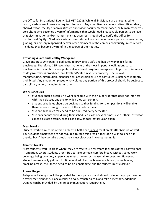the Office for Institutional Equity (216-687-2223). While all individuals are encouraged to report, certain employees are required to do so. Any executive or administrative officer, dean, chair/director; faculty or administrative supervisor; faculty member; coach; or human resources consultant who becomes aware of information that would lead a reasonable person to believe that discrimination and/or harassment has occurred is required to notify the Office for Institutional Equity. Graduate assistants and student workers who have supervisory, evaluative, grading, or advisory responsibility over other members of the campus community, must report incidents they become aware of in the course of their duties.

#### **Providing A Safe and Healthy Workplace**

Cleveland State University is dedicated to providing a safe and healthy workplace for its employees. Therefore, CSU recognizes that one of the most important obligations to its employees is to maintain a completely alcohol- and drug-free workplace. Illegal use or influence of drugs/alcohol is prohibited on Cleveland State University property. The unlawful manufacturing, distribution, dispensation, possession or use of controlled substances is strictly prohibited. Any student employee who violates any portion of this protocol should be subject to disciplinary action, including termination.

#### **Work Schedules**

- Students should establish a work schedule with their supervisor that does not interfere with their classes and one to which they can commit.
- Student schedules should be designed so that funding for their positions will enable them to work through the end of the academic year.
- Student schedules may need to be adjusted every semester.
- Students cannot work during their scheduled class or exam times, even if their instructor cancels a class session, ends class early, or does not issue an exam.

#### **Meal breaks**

Student workers must be offered at least a half-hour unpaid meal break after 6 hours of work. Your student employees are not required to take this break if they don't wish to since it is unpaid, but if they do take a break they must clock out in Kronos during it.

#### **Comfort breaks**

Most students work in areas where they are free to use restroom facilities at their convenience. In situations where students aren't free to take periodic comfort breaks without some work coverage being provided, supervisors must arrange such reasonable coverage. However, student workers only get paid for time worked. If actual breaks are taken (coffee breaks, smoking breaks, etc.) those need to be on unpaid time and the student must clock out.

#### **Phone Usage**

Telephone training should be provided by the supervisor and should include the proper way to answer the telephone, place a caller on hold, transfer a call, and take a message. Additional training can be provided by the Telecommunications Department.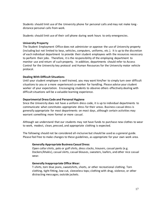Students should limit use of the University phone for personal calls and may not make longdistance personal calls from work.

Students should limit use of their cell phone during work hours to only emergencies.

#### **University Property**

The Student Employment Office does not administer or approve the use of University property (including but not limited to keys, vehicles, computers, uniforms, etc.). It is up to the discretion of each individual department to provide their student employees with the resources necessary to perform their jobs. Therefore, it is the responsibility of the employing department to monitor use and return of such property. In addition, departments should refer to Access Control for the University key protocol and Human Resources for the University motor vehicle protocol.

#### **Dealing With Difficult Situations**

Until your student employee is well trained, you may want him/her to simply turn over difficult situations to you or a more experienced co-worker for handling. Please advise your student worker of your expectation. Encouraging students to observe others effectively dealing with difficult situations will be a valuable learning experience.

#### **Departmental Dress Code and Personal Hygiene**

Since the University does not have a uniform dress code, it is up to individual departments to communicate what constitutes appropriate dress for their areas. Business casual dress is generally appropriate for most departments on most days, although certain activities may warrant something more formal or more casual.

Although we understand that our students may not have funds to purchase new clothes to wear to work, modest, clean, pressed, and appropriate clothing is expected.

The following should not be considered all-inclusive but should be used as a general guide. Please feel free to make changes to these guidelines, as appropriate for your own work area.

#### **Generally Appropriate Business Casual Dress:**

Open collar shirts, polo or golf shirts, dress slacks, trousers, casual pants (e.g. Dockers/khakis), casual skirts, casual blouses, sweaters, loafers, and other nice casual wear.

#### **Generally Inappropriate Office Wear:**

T-shirts, torn blue jeans, sweatshirts, shorts, or other recreational clothing. Torn clothing, tight fitting, low-cut, sleeveless tops; clothing with drug, violence, or other distracting messages; outside jackets.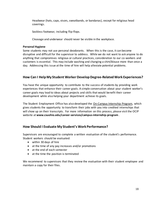Headwear (hats, caps, visors, sweatbands, or bandanas), except for religious head coverings.

Sockless footwear, including flip-flops.

Cleavage and underwear should never be visible in the workplace.

#### **Personal Hygiene**

Some students may not use personal deodorants. When this is the case, it can become disruptive and difficult for the supervisor to address. While we do not want to ask anyone to do anything that compromises religious or cultural practices, consideration to our co-workers and customers is essential. This may include washing and changing a shirt/blouse more than once a day. Addressing this issue at the time of hire will help alleviate potential problems.

# **How Can I Help My Student Worker Develop Degree-Related Work Experiences?**

You have the unique opportunity to contribute to the success of students by providing work experiences that enhance their career goals. A simple conversation about your student worker's career goals may lead to ideas about projects and skills that would benefit their career development while also helping your department achieve its goals.

The Student Employment Office has also developed the On-Campus Internship Program, which gives students the opportunity to transform their jobs with you into credited internships that will show up on their transcripts. For more information on this process, please visit the OCIP website at **www.csuohio.edu/career-services/campus-internship-program** .

# **How Should I Evaluate My Student's Work Performance?**

Supervisors are encouraged to complete a written evaluation of the student's performance. Student workers should be evaluated:

- within 30 days of hire
- at the time of any pay increases and/or promotions
- at the end of each semester
- at the time the position is terminated

We recommend to supervisors that they review the evaluation with their student employee and maintain a copy for their files.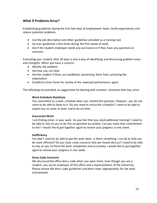# **What If Problems Arise?**

Establishing guidelines during the first few days of employment helps clarify expectations and reduce potential problems.

- Use the job description and other guidelines provided as a training tool.
- Go over guidelines a few times during the first weeks of work.
- Ask if the student employee needs any assistance or if they have any questions or concerns.

Evaluating your student after 30 days is also a way of identifying and discussing problem areas and strengths. When you have a concern:

- Identify the problem
- Ask how you can help
- Ask the student if there are roadblocks preventing them from achieving the expectation
- Establish a time frame for review of the expected performance again

The following are provided as suggestions for dealing with common situations that may arise:

#### **Work Schedule Violations**

You committed to a work schedule when you started this position. However, you do not seem to be able to keep to it. Do you need to revise the schedule? I need to be able to expect you to come to work and to be on-time.

#### **Inaccurate Work**

I am finding errors in your work. Do you feel that you need additional training? I need to be able to rely on you to do this assignment accurately. Can you make that commitment to me? I would like to get together again to review your progress in one week.

#### **Inefficiency**

You don't seem to be able to get the work done. Is there something I can do to help you be more efficient? Do you have some concerns that we should discuss? I need to be able to rely on you to finish the work completely and accurately. I would like to get together again to review your progress in one week.

#### **Dress Code Concerns**

We discussed the office dress code when you were hired. Even though you are a student, you are an employee of this office and a representative of the University. Please review the dress code guidelines and dress more appropriately for the work environment.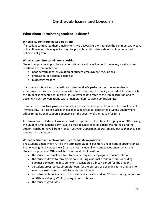# **On-the-Job Issues and Concerns**

# **What About Terminating Student Positions?**

#### **When a student terminates a position:**

If a student terminates their employment, we encourage them to give the common two weeks notice. However, this may not always be possible, and students should not be penalized if notice is not given.

#### **When a supervisor terminates a position:**

Student employment positions are considered at-will employment. However, most student positions are terminated for:

- poor performance or violation of student employment regulations
- graduation or academic dismissal
- budgetary reasons

If a supervisor is not satisfied with a student worker's performance, the supervisor is encouraged to discuss the concerns with the student and to specify a period of time in which the student is expected to improve. It is always best to refer to the job description and to document such conversations with a memorandum to avoid confusion later.

In some cases, such as gross misconduct, supervisors may opt to terminate the employment immediately. For cases such as these, please feel free to contact the Student Employment Office for additional support depending on the severity of the reason for firing.

All terminations of student workers must be reported to the Student Employment Office using the Student Employment Form (SEF) so that accurate records can be maintained and the student can be removed from Kronos. Let your Departmental Designee know so that they can prepare this paperwork.

#### **When the Student Employment Office terminates a position:**

The Student Employment Office will terminate student positions under certain circumstances. The following list includes most (but may not include all) circumstances under which the Student Employment Office will terminate a student position:

- the student or employer fails to provide required employment documentation
- the student drops to zero credit hours during a normal academic term (including summer semester, unless summer is considered a break period for the student)
- a student drops below six credit hours for the current or upcoming term and fails to meet the exemption criteria for under-enrollment
- a student violates the work hour rules and exceeds working 20 hours during semesters or 40 hours during Winter/Spring/Summer breaks
- the student graduates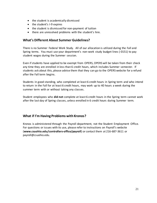- the student is academically dismissed
- the student's I-9 expires
- the student is dismissed for non-payment of tuition
- there are unresolved problems with the student's hire.

## **What's Different About Summer Guidelines?**

There is no Summer Federal Work Study. All of our allocation is utilized during the Fall and Spring terms. You must use your department's non-work study budget lines (-0151) to pay student wages during the Summer session.

Even if students have applied to be exempt from OPERS, OPERS will be taken from their check any time they are enrolled in less than 6 credit hours, which includes Summer semester. If students ask about this, please advise them that they can go to the OPERS website for a refund after the Fall term begins.

Students in good standing, who completed at least 6 credit hours in Spring term and who intend to return in the Fall for at least 6 credit hours, may work up to 40 hours a week during the summer term with or without taking any classes.

Student employees who **did not** complete at least 6 credit hours in the Spring term cannot work after the last day of Spring classes, unless enrolled in 6 credit hours during Summer term.

# **What if I'm Having Problems with Kronos?**

Kronos is administered through the Payroll department, not the Student Employment Office. For questions or issues with its use, please refer to instructions on Payroll's website (**www.csuohio.edu/controllers-office/payroll**) or contact them at 216-687-3611 or payroll@csuohio.edu.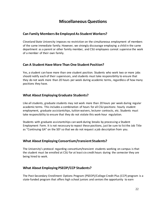# **Miscellaneous Questions**

## **Can Family Members Be Employed As Student Workers?**

Cleveland State University imposes no restriction on the simultaneous employment of members of the same immediate family. However, we strongly discourage employing a child in the same department as a parent or other family member, and CSU employees cannot supervise the work of a member of their own family.

# **Can A Student Have More Than One Student Position?**

Yes, a student can have more than one student position. Students who work two or more jobs should notify each of their supervisors, and students must take responsibility to ensure that they do not work more than 20 hours per week during academic terms, regardless of how many positions they have.

# **What About Employing Graduate Students?**

Like all students, graduate students may not work more than 20 hours per week during regular academic terms. This includes a combination of hours for all CSU positions: hourly student employment, graduate assistantships, tuition waivers, lecturer contracts, etc. Students must take responsibility to ensure that they do not violate this work-hour regulation.

Students with graduate assistantships can work during breaks by processing a Student Employment Form. It is not necessary to repost these positions, just be sure to list the Job Title as "Continuing GA" on the SEF so that we do not request a job description from you.

# **What About Employing Consortium/transient Students?**

The University's protocol regarding consortium/transient students working on campus is that the student must be enrolled at CSU for at least six credit hours during the semester they are being hired to work.

# **What About Employing PSEOP/CCP Students?**

The Post-Secondary Enrollment Options Program (PSEOP)/College Credit Plus (CCP) program is a state-funded program that offers high school juniors and seniors the opportunity to earn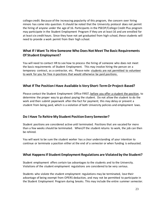college credit. Because of the increasing popularity of this program, the concern over hiring minors has come into question. It should be noted that the University protocol does not permit the hiring of anyone under the age of 16. Participants in the PSEOP/College Credit Plus program may participate in the Student Employment Program if they are at least 16 and are enrolled for at least six credit hours. Since they have not yet graduated from high school, these students will need to provide a work permit from their high school.

# **What If I Want To Hire Someone Who Does Not Meet The Basic Requirements Of Student Employment?**

You will need to contact HR to see how to process the hiring of someone who does not meet the basic requirements of Student Employment. This may involve hiring the person on a temporary contract, as a contractor, etc. Please note: students are not permitted to volunteer to work for you for free in positions that would otherwise be paid positions.

# **What If The Position I Have Available Is Very Short-Term Or Project-Based?**

Please contact the Student Employment Office FIRST, before you offer a student the position, to determine the proper way to go about paying the student. Do not allow the student to do the work and then submit paperwork after-the-fact for payment; this may delay or prevent a student from being paid, which is a violation of both University policies and employment laws.

# **Do I Have To Rehire My Student Position Every Semester?**

Student positions are considered active until terminated. Positions that are vacated for more than a few weeks should be terminated. When/if the student returns to work, the job can then be rehired.

You will want to be sure the student worker has a clear understanding of your intention to continue or terminate a position either at the end of a semester or when funding is exhausted.

# **What Happens If Student Employment Regulations are Violated by the Student?**

Student employment offers certain tax advantages to the students and to the University. Violations of the student employment regulations are considered to be very serious.

Students who violate the student employment regulations may be terminated, lose their advantage of being exempt from OPERS deduction, and may not be permitted to participate in the Student Employment Program during breaks. This may include the entire summer semester.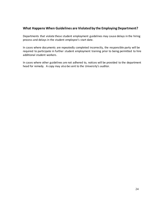# **What Happens When Guidelines are Violated by the Employing Department?**

Departments that violate these student employment guidelines may cause delays in the hiring process and delays in the student employee's start date.

In cases where documents are repeatedly completed incorrectly, the responsible party will be required to participate in further student employment training prior to being permitted to hire additional student workers.

In cases where other guidelines are not adhered to, notices will be provided to the department head for remedy. A copy may also be sent to the University's auditor.